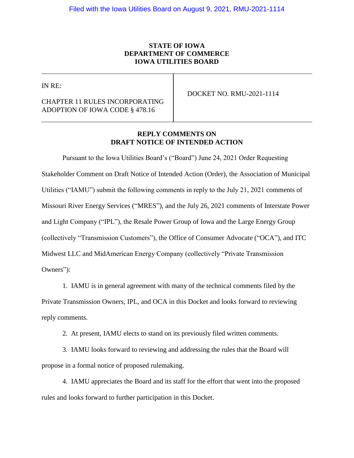## **STATE OF IOWA DEPARTMENT OF COMMERCE IOWA UTILITIES BOARD**

IN RE:

## CHAPTER 11 RULES INCORPORATING ADOPTION OF IOWA CODE § 478.16

DOCKET NO. RMU-2021-1114

## **REPLY COMMENTS ON DRAFT NOTICE OF INTENDED ACTION**

Pursuant to the Iowa Utilities Board's ("Board") June 24, 2021 Order Requesting Stakeholder Comment on Draft Notice of Intended Action (Order), the Association of Municipal Utilities ("IAMU") submit the following comments in reply to the July 21, 2021 comments of Missouri River Energy Services ("MRES"), and the July 26, 2021 comments of Interstate Power and Light Company ("IPL"), the Resale Power Group of Iowa and the Large Energy Group (collectively "Transmission Customers"), the Office of Consumer Advocate ("OCA"), and ITC Midwest LLC and MidAmerican Energy Company (collectively "Private Transmission Owners"):

1. IAMU is in general agreement with many of the technical comments filed by the Private Transmission Owners, IPL, and OCA in this Docket and looks forward to reviewing reply comments.

2. At present, IAMU elects to stand on its previously filed written comments.

3. IAMU looks forward to reviewing and addressing the rules that the Board will propose in a formal notice of proposed rulemaking.

4. IAMU appreciates the Board and its staff for the effort that went into the proposed rules and looks forward to further participation in this Docket.